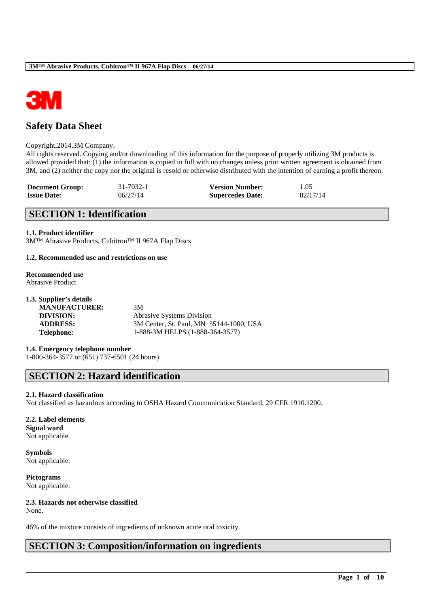

# **Safety Data Sheet**

#### Copyright,2014,3M Company.

All rights reserved. Copying and/or downloading of this information for the purpose of properly utilizing 3M products is allowed provided that: (1) the information is copied in full with no changes unless prior written agreement is obtained from 3M, and (2) neither the copy nor the original is resold or otherwise distributed with the intention of earning a profit thereon.

| <b>Document Group:</b> | 31-7032-1 | <b>Version Number:</b>  | 1.05     |
|------------------------|-----------|-------------------------|----------|
| <b>Issue Date:</b>     | 06/27/14  | <b>Supercedes Date:</b> | 02/17/14 |

# **SECTION 1: Identification**

#### **1.1. Product identifier**

3M™ Abrasive Products, Cubitron™ II 967A Flap Discs

#### **1.2. Recommended use and restrictions on use**

# **Recommended use**

Abrasive Product

| 1.3. Supplier's details |                                         |
|-------------------------|-----------------------------------------|
| <b>MANUFACTURER:</b>    | 3M                                      |
| DIVISION:               | <b>Abrasive Systems Division</b>        |
| <b>ADDRESS:</b>         | 3M Center, St. Paul, MN 55144-1000, USA |
| <b>Telephone:</b>       | 1-888-3M HELPS (1-888-364-3577)         |
|                         |                                         |

**1.4. Emergency telephone number** 1-800-364-3577 or (651) 737-6501 (24 hours)

# **SECTION 2: Hazard identification**

#### **2.1. Hazard classification**

Not classified as hazardous according to OSHA Hazard Communication Standard, 29 CFR 1910.1200.

\_\_\_\_\_\_\_\_\_\_\_\_\_\_\_\_\_\_\_\_\_\_\_\_\_\_\_\_\_\_\_\_\_\_\_\_\_\_\_\_\_\_\_\_\_\_\_\_\_\_\_\_\_\_\_\_\_\_\_\_\_\_\_\_\_\_\_\_\_\_\_\_\_\_\_\_\_\_\_\_\_\_\_\_\_\_\_\_\_\_

#### **2.2. Label elements**

**Signal word** Not applicable.

**Symbols** Not applicable.

**Pictograms** Not applicable.

# **2.3. Hazards not otherwise classified**

None.

46% of the mixture consists of ingredients of unknown acute oral toxicity.

# **SECTION 3: Composition/information on ingredients**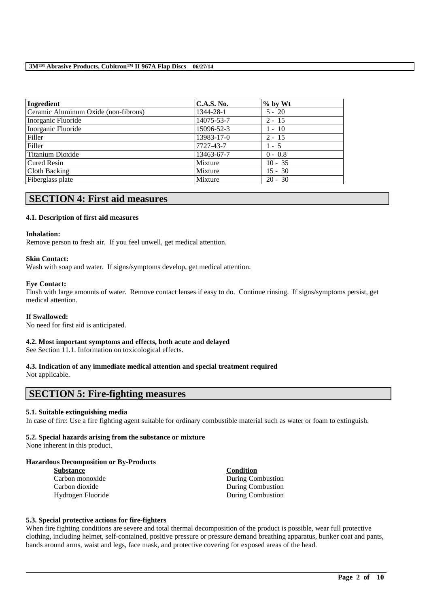| Ingredient                           | <b>C.A.S. No.</b> | $\%$ by Wt |  |
|--------------------------------------|-------------------|------------|--|
| Ceramic Aluminum Oxide (non-fibrous) | 1344-28-1         | $5 - 20$   |  |
| Inorganic Fluoride                   | 14075-53-7        | $2 - 15$   |  |
| Inorganic Fluoride                   | 15096-52-3        | $1 - 10$   |  |
| Filler                               | 13983-17-0        | $2 - 15$   |  |
| Filler                               | 7727-43-7         | $1 - 5$    |  |
| Titanium Dioxide                     | 13463-67-7        | $0 - 0.8$  |  |
| Cured Resin                          | Mixture           | $10 - 35$  |  |
| Cloth Backing                        | Mixture           | $15 - 30$  |  |
| Fiberglass plate                     | Mixture           | $20 - 30$  |  |

# **SECTION 4: First aid measures**

## **4.1. Description of first aid measures**

#### **Inhalation:**

Remove person to fresh air. If you feel unwell, get medical attention.

#### **Skin Contact:**

Wash with soap and water. If signs/symptoms develop, get medical attention.

#### **Eye Contact:**

Flush with large amounts of water. Remove contact lenses if easy to do. Continue rinsing. If signs/symptoms persist, get medical attention.

#### **If Swallowed:**

No need for first aid is anticipated.

# **4.2. Most important symptoms and effects, both acute and delayed**

See Section 11.1. Information on toxicological effects.

# **4.3. Indication of any immediate medical attention and special treatment required**

Not applicable.

# **SECTION 5: Fire-fighting measures**

## **5.1. Suitable extinguishing media**

In case of fire: Use a fire fighting agent suitable for ordinary combustible material such as water or foam to extinguish.

## **5.2. Special hazards arising from the substance or mixture**

None inherent in this product.

#### **Hazardous Decomposition or By-Products**

| <b>Substance</b>  | Condition         |
|-------------------|-------------------|
| Carbon monoxide   | During Combustion |
| Carbon dioxide    | During Combustion |
| Hydrogen Fluoride | During Combustion |

#### **5.3. Special protective actions for fire-fighters**

When fire fighting conditions are severe and total thermal decomposition of the product is possible, wear full protective clothing, including helmet, self-contained, positive pressure or pressure demand breathing apparatus, bunker coat and pants, bands around arms, waist and legs, face mask, and protective covering for exposed areas of the head.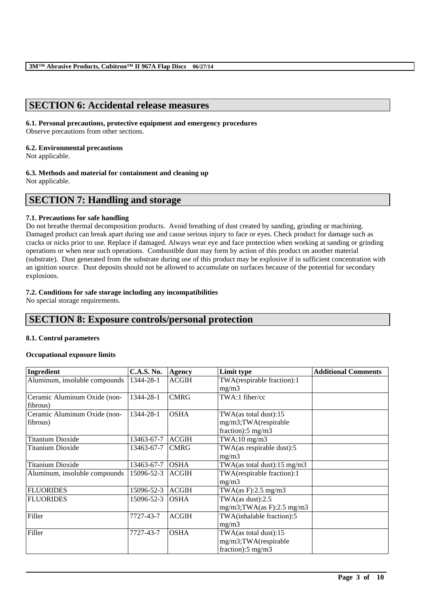# **SECTION 6: Accidental release measures**

# **6.1. Personal precautions, protective equipment and emergency procedures**

Observe precautions from other sections.

#### **6.2. Environmental precautions**

Not applicable.

## **6.3. Methods and material for containment and cleaning up**

Not applicable.

# **SECTION 7: Handling and storage**

# **7.1. Precautions for safe handling**

Do not breathe thermal decomposition products. Avoid breathing of dust created by sanding, grinding or machining. Damaged product can break apart during use and cause serious injury to face or eyes. Check product for damage such as cracks or nicks prior to use. Replace if damaged. Always wear eye and face protection when working at sanding or grinding operations or when near such operations. Combustible dust may form by action of this product on another material (substrate). Dust generated from the substrate during use of this product may be explosive if in sufficient concentration with an ignition source. Dust deposits should not be allowed to accumulate on surfaces because of the potential for secondary explosions.

# **7.2. Conditions for safe storage including any incompatibilities**

No special storage requirements.

# **SECTION 8: Exposure controls/personal protection**

## **8.1. Control parameters**

## **Occupational exposure limits**

| Ingredient                    | <b>C.A.S. No.</b> | <b>Agency</b> | Limit type                     | <b>Additional Comments</b> |
|-------------------------------|-------------------|---------------|--------------------------------|----------------------------|
| Aluminum, insoluble compounds | 1344-28-1         | <b>ACGIH</b>  | TWA(respirable fraction):1     |                            |
|                               |                   |               | mg/m3                          |                            |
| Ceramic Aluminum Oxide (non-  | 1344-28-1         | <b>CMRG</b>   | TWA:1 fiber/cc                 |                            |
| fibrous)                      |                   |               |                                |                            |
| Ceramic Aluminum Oxide (non-  | 1344-28-1         | <b>OSHA</b>   | TWA(as total dust):15          |                            |
| fibrous)                      |                   |               | mg/m3;TWA(respirable           |                            |
|                               |                   |               | fraction): $5 \text{ mg/m}$ 3  |                            |
| <b>Titanium Dioxide</b>       | 13463-67-7        | <b>ACGIH</b>  | $TWA:10$ mg/m $3$              |                            |
| <b>Titanium Dioxide</b>       | 13463-67-7        | <b>CMRG</b>   | TWA(as respirable dust):5      |                            |
|                               |                   |               | mg/m3                          |                            |
| <b>Titanium Dioxide</b>       | 13463-67-7        | <b>OSHA</b>   | TWA(as total dust):15 mg/m3    |                            |
| Aluminum, insoluble compounds | 15096-52-3        | <b>ACGIH</b>  | TWA(respirable fraction):1     |                            |
|                               |                   |               | mg/m3                          |                            |
| <b>FLUORIDES</b>              | 15096-52-3        | <b>ACGIH</b>  | TWA(as F):2.5 mg/m3            |                            |
| <b>FLUORIDES</b>              | 15096-52-3        | <b>OSHA</b>   | TWA $(as dust):2.5$            |                            |
|                               |                   |               | $mg/m3$ ; TWA(as F): 2.5 mg/m3 |                            |
| Filler                        | 7727-43-7         | <b>ACGIH</b>  | TWA(inhalable fraction):5      |                            |
|                               |                   |               | mg/m3                          |                            |
| Filler                        | 7727-43-7         | <b>OSHA</b>   | TWA(as total dust):15          |                            |
|                               |                   |               | mg/m3;TWA(respirable           |                            |
|                               |                   |               | fraction): $5 \text{ mg/m}$ 3  |                            |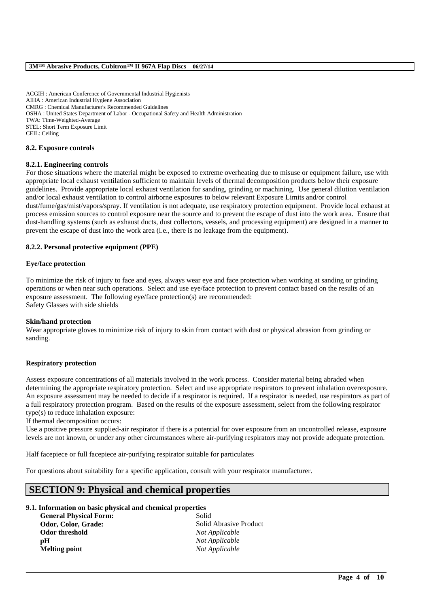ACGIH : American Conference of Governmental Industrial Hygienists AIHA : American Industrial Hygiene Association CMRG : Chemical Manufacturer's Recommended Guidelines OSHA : United States Department of Labor - Occupational Safety and Health Administration TWA: Time-Weighted-Average STEL: Short Term Exposure Limit CEIL: Ceiling

#### **8.2. Exposure controls**

#### **8.2.1. Engineering controls**

For those situations where the material might be exposed to extreme overheating due to misuse or equipment failure, use with appropriate local exhaust ventilation sufficient to maintain levels of thermal decomposition products below their exposure guidelines. Provide appropriate local exhaust ventilation for sanding, grinding or machining. Use general dilution ventilation and/or local exhaust ventilation to control airborne exposures to below relevant Exposure Limits and/or control dust/fume/gas/mist/vapors/spray. If ventilation is not adequate, use respiratory protection equipment. Provide local exhaust at process emission sources to control exposure near the source and to prevent the escape of dust into the work area. Ensure that dust-handling systems (such as exhaust ducts, dust collectors, vessels, and processing equipment) are designed in a manner to prevent the escape of dust into the work area (i.e., there is no leakage from the equipment).

#### **8.2.2. Personal protective equipment (PPE)**

#### **Eye/face protection**

To minimize the risk of injury to face and eyes, always wear eye and face protection when working at sanding or grinding operations or when near such operations. Select and use eye/face protection to prevent contact based on the results of an exposure assessment. The following eye/face protection(s) are recommended: Safety Glasses with side shields

#### **Skin/hand protection**

Wear appropriate gloves to minimize risk of injury to skin from contact with dust or physical abrasion from grinding or sanding.

#### **Respiratory protection**

Assess exposure concentrations of all materials involved in the work process. Consider material being abraded when determining the appropriate respiratory protection. Select and use appropriate respirators to prevent inhalation overexposure. An exposure assessment may be needed to decide if a respirator is required. If a respirator is needed, use respirators as part of a full respiratory protection program. Based on the results of the exposure assessment, select from the following respirator type(s) to reduce inhalation exposure:

If thermal decomposition occurs:

Use a positive pressure supplied-air respirator if there is a potential for over exposure from an uncontrolled release, exposure levels are not known, or under any other circumstances where air-purifying respirators may not provide adequate protection.

\_\_\_\_\_\_\_\_\_\_\_\_\_\_\_\_\_\_\_\_\_\_\_\_\_\_\_\_\_\_\_\_\_\_\_\_\_\_\_\_\_\_\_\_\_\_\_\_\_\_\_\_\_\_\_\_\_\_\_\_\_\_\_\_\_\_\_\_\_\_\_\_\_\_\_\_\_\_\_\_\_\_\_\_\_\_\_\_\_\_

Half facepiece or full facepiece air-purifying respirator suitable for particulates

For questions about suitability for a specific application, consult with your respirator manufacturer.

# **SECTION 9: Physical and chemical properties**

#### **9.1. Information on basic physical and chemical properties**

**General Physical Form:** Solid **Odor threshold** *Not Applicable* **pH** *Not Applicable* **Melting point** *Not Applicable*

**Odor, Color, Grade:** Solid Abrasive Product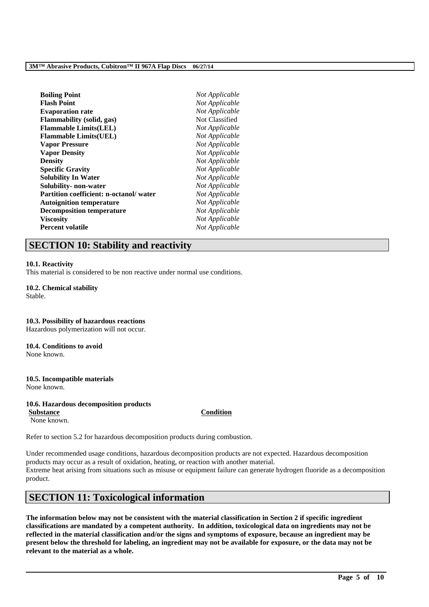| <b>Boiling Point</b><br>Flash Point<br><b>Evaporation rate</b> | Not Applicable<br>Not Applicable<br>Not Classified |
|----------------------------------------------------------------|----------------------------------------------------|
|                                                                |                                                    |
|                                                                |                                                    |
| Flammability (solid, gas)                                      |                                                    |
| <b>Flammable Limits(LEL)</b>                                   | Not Applicable                                     |
| <b>Flammable Limits(UEL)</b>                                   | Not Applicable                                     |
| <b>Vapor Pressure</b>                                          | Not Applicable                                     |
| <b>Vapor Density</b>                                           | Not Applicable                                     |
| Densitv                                                        | Not Applicable                                     |
| <b>Specific Gravity</b>                                        | Not Applicable                                     |
| Solubility In Water                                            | Not Applicable                                     |
| Solubility- non-water                                          | Not Applicable                                     |
| Partition coefficient: n-octanol/ water                        | Not Applicable                                     |
| <b>Autoignition temperature</b>                                | Not Applicable                                     |
| <b>Decomposition temperature</b>                               | Not Applicable                                     |
| Viscositv                                                      | Not Applicable                                     |
| Percent volatile                                               | Not Applicable                                     |

# **SECTION 10: Stability and reactivity**

#### **10.1. Reactivity**

This material is considered to be non reactive under normal use conditions.

# **10.2. Chemical stability**

Stable.

# **10.3. Possibility of hazardous reactions**

Hazardous polymerization will not occur.

## **10.4. Conditions to avoid**

None known.

#### **10.5. Incompatible materials** None known.

#### **10.6. Hazardous decomposition products**

**Substance Condition** None known.

Refer to section 5.2 for hazardous decomposition products during combustion.

Under recommended usage conditions, hazardous decomposition products are not expected. Hazardous decomposition products may occur as a result of oxidation, heating, or reaction with another material. Extreme heat arising from situations such as misuse or equipment failure can generate hydrogen fluoride as a decomposition product.

# **SECTION 11: Toxicological information**

**The information below may not be consistent with the material classification in Section 2 if specific ingredient classifications are mandated by a competent authority. In addition, toxicological data on ingredients may not be reflected in the material classification and/or the signs and symptoms of exposure, because an ingredient may be present below the threshold for labeling, an ingredient may not be available for exposure, or the data may not be relevant to the material as a whole.**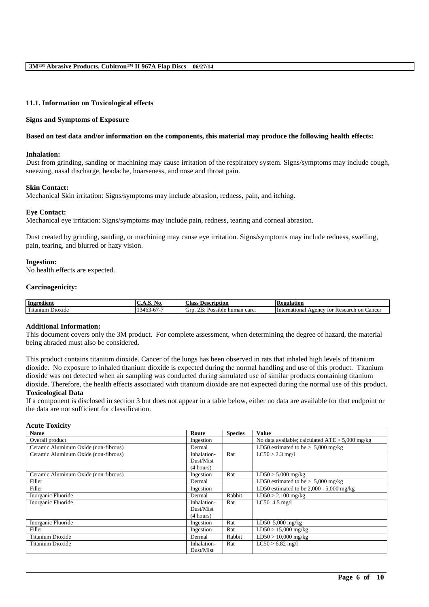#### **11.1. Information on Toxicological effects**

#### **Signs and Symptoms of Exposure**

#### **Based on test data and/or information on the components, this material may produce the following health effects:**

#### **Inhalation:**

Dust from grinding, sanding or machining may cause irritation of the respiratory system. Signs/symptoms may include cough, sneezing, nasal discharge, headache, hoarseness, and nose and throat pain.

#### **Skin Contact:**

Mechanical Skin irritation: Signs/symptoms may include abrasion, redness, pain, and itching.

#### **Eye Contact:**

Mechanical eye irritation: Signs/symptoms may include pain, redness, tearing and corneal abrasion.

Dust created by grinding, sanding, or machining may cause eye irritation. Signs/symptoms may include redness, swelling, pain, tearing, and blurred or hazy vision.

#### **Ingestion:**

No health effects are expected.

#### **Carcinogenicity:**

|                                                    | . NO.                                       | <b>Class</b>                                                        | <b>Regulation</b>                                                 |
|----------------------------------------------------|---------------------------------------------|---------------------------------------------------------------------|-------------------------------------------------------------------|
| Ingredient                                         | . <i>. .</i>                                | Description                                                         |                                                                   |
| rent for the second con-<br>ı Dioxide<br>' itanıum | $-$<br>$\rightarrow$<br>. 54F<br>-07-<br>᠇୰ | $\sim$<br>$2R_1$<br>carc<br>Grt<br>human<br>. Inc<br>sible<br>- 085 | Cancer<br>International<br>Agency<br>esearch<br>on<br>tor<br>. Ku |

#### **Additional Information:**

This document covers only the 3M product. For complete assessment, when determining the degree of hazard, the material being abraded must also be considered.

This product contains titanium dioxide. Cancer of the lungs has been observed in rats that inhaled high levels of titanium dioxide. No exposure to inhaled titanium dioxide is expected during the normal handling and use of this product. Titanium dioxide was not detected when air sampling was conducted during simulated use of similar products containing titanium dioxide. Therefore, the health effects associated with titanium dioxide are not expected during the normal use of this product. **Toxicological Data**

If a component is disclosed in section 3 but does not appear in a table below, either no data are available for that endpoint or the data are not sufficient for classification.

#### **Acute Toxicity**

| <b>Name</b>                          | Route       | <b>Species</b> | <b>Value</b>                                      |
|--------------------------------------|-------------|----------------|---------------------------------------------------|
| Overall product                      | Ingestion   |                | No data available; calculated $ATE > 5,000$ mg/kg |
| Ceramic Aluminum Oxide (non-fibrous) | Dermal      |                | LD50 estimated to be $> 5,000$ mg/kg              |
| Ceramic Aluminum Oxide (non-fibrous) | Inhalation- | Rat            | $LC50 > 2.3$ mg/l                                 |
|                                      | Dust/Mist   |                |                                                   |
|                                      | (4 hours)   |                |                                                   |
| Ceramic Aluminum Oxide (non-fibrous) | Ingestion   | Rat            | $LD50 > 5,000$ mg/kg                              |
| Filler                               | Dermal      |                | LD50 estimated to be $> 5,000$ mg/kg              |
| Filler                               | Ingestion   |                | LD50 estimated to be $2,000 - 5,000$ mg/kg        |
| Inorganic Fluoride                   | Dermal      | Rabbit         | $LD50 > 2,100$ mg/kg                              |
| Inorganic Fluoride                   | Inhalation- | Rat            | $LC50$ 4.5 mg/l                                   |
|                                      | Dust/Mist   |                |                                                   |
|                                      | (4 hours)   |                |                                                   |
| Inorganic Fluoride                   | Ingestion   | Rat            | LD50 $5,000$ mg/kg                                |
| Filler                               | Ingestion   | Rat            | $LD50 > 15,000$ mg/kg                             |
| Titanium Dioxide                     | Dermal      | Rabbit         | $LD50 > 10,000$ mg/kg                             |
| Titanium Dioxide                     | Inhalation- | Rat            | $LC50 > 6.82$ mg/l                                |
|                                      | Dust/Mist   |                |                                                   |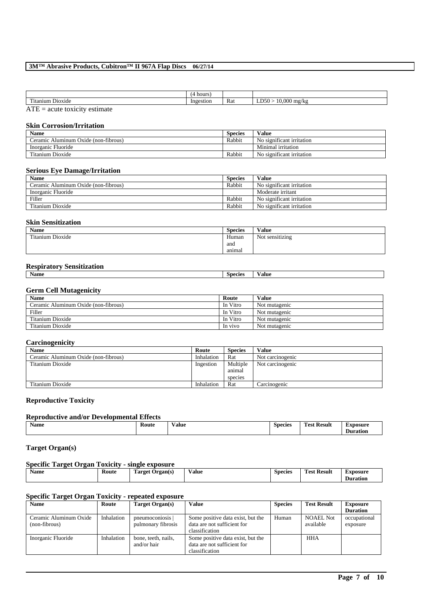|                                                                                                                                                                                                                                                                                               | hours     |     |                                             |
|-----------------------------------------------------------------------------------------------------------------------------------------------------------------------------------------------------------------------------------------------------------------------------------------------|-----------|-----|---------------------------------------------|
| rest to the second term in the second term in the second term in the second term in the second term in the second term in the second term in the second term in the second term in the second term in the second term in the s<br>D <sub>10</sub> x <sub>1</sub> de<br>∵utanıum .<br>. .daber | Ingestion | Rat | .D50<br>nnr<br>) mg/kg<br>.u.uu<br>≖<br>. . |
| $\sqrt{1}$                                                                                                                                                                                                                                                                                    |           |     |                                             |

 $ATE = acute toxicity estimate$ 

#### **Skin Corrosion/Irritation**

| Name                                   | Species | Value                                       |
|----------------------------------------|---------|---------------------------------------------|
| Aluminum Oxide (non-fibrous)<br>eramic | Rabbit  | No significant irritation                   |
| Inorganic Fluoride                     |         | Minimal irritation                          |
| rent and<br>Titanium Dioxide           | Rabbit  | $\cdot$ $\sim$<br>No significant irritation |

# **Serious Eye Damage/Irritation**

| <b>Name</b>                          | <b>Species</b> | Value                     |
|--------------------------------------|----------------|---------------------------|
| Ceramic Aluminum Oxide (non-fibrous) | Rabbit         | No significant irritation |
| Inorganic Fluoride                   |                | Moderate irritant         |
| Filler                               | Rabbit         | No significant irritation |
| Titanium Dioxide                     | Rabbit         | No significant irritation |

#### **Skin Sensitization**

| Name                  | <b>Species</b> | Value           |
|-----------------------|----------------|-----------------|
| Titanium L<br>Dioxide | Human          | Not sensitizing |
|                       | and            |                 |
|                       | animal         |                 |

# **Respiratory Sensitization**

| $\overline{\phantom{a}}$<br><b>Name</b> | Snociac<br>יי | /alue |
|-----------------------------------------|---------------|-------|
|                                         |               |       |

# **Germ Cell Mutagenicity**

| <b>Name</b>                          | Route    | <b>Value</b>  |
|--------------------------------------|----------|---------------|
| Ceramic Aluminum Oxide (non-fibrous) | In Vitro | Not mutagenic |
| Filler                               | In Vitro | Not mutagenic |
| Titanium Dioxide                     | In Vitro | Not mutagenic |
| Titanium Dioxide                     | In vivo  | Not mutagenic |

#### **Carcinogenicity**

| <b>Name</b>                          | Route      | <b>Species</b> | Value            |
|--------------------------------------|------------|----------------|------------------|
| Ceramic Aluminum Oxide (non-fibrous) | Inhalation | Rat            | Not carcinogenic |
| Titanium Dioxide                     | Ingestion  | Multiple       | Not carcinogenic |
|                                      |            | animal         |                  |
|                                      |            | species        |                  |
| Titanium Dioxide                     | Inhalation | Rat            | Carcinogenic     |

# **Reproductive Toxicity**

| <b>Reproductive and/or Developmental Effects</b> |       |       |                |                    |                             |  |  |
|--------------------------------------------------|-------|-------|----------------|--------------------|-----------------------------|--|--|
| <b>Name</b>                                      | Route | Value | <b>Species</b> | <b>Test Result</b> | Exposure<br><b>Duration</b> |  |  |

# **Target Organ(s)**

# **Specific Target Organ Toxicity - single exposure**

| $\mathbf{H}$<br>Name | Route | <b>CONTRACTOR</b><br>Target<br><b>Organ</b> (s)<br>- | Value | <b>Species</b> | -<br><b>Result</b><br>1'est | Exposure<br>$\cdot$ .<br>Duration |
|----------------------|-------|------------------------------------------------------|-------|----------------|-----------------------------|-----------------------------------|
|                      |       |                                                      |       |                |                             |                                   |

# **Specific Target Organ Toxicity - repeated exposure**

| <b>Name</b>                             | Route      | Target Organ(s)                      | Value                                                                              | <b>Species</b> | <b>Test Result</b>            | <b>Exposure</b>          |
|-----------------------------------------|------------|--------------------------------------|------------------------------------------------------------------------------------|----------------|-------------------------------|--------------------------|
|                                         |            |                                      |                                                                                    |                |                               | <b>Duration</b>          |
| Ceramic Aluminum Oxide<br>(non-fibrous) | Inhalation | pneumoconiosis<br>pulmonary fibrosis | Some positive data exist, but the<br>data are not sufficient for<br>classification | Human          | <b>NOAEL Not</b><br>available | occupational<br>exposure |
| Inorganic Fluoride                      | Inhalation | bone, teeth, nails,<br>and/or hair   | Some positive data exist, but the<br>data are not sufficient for<br>classification |                | HHA                           |                          |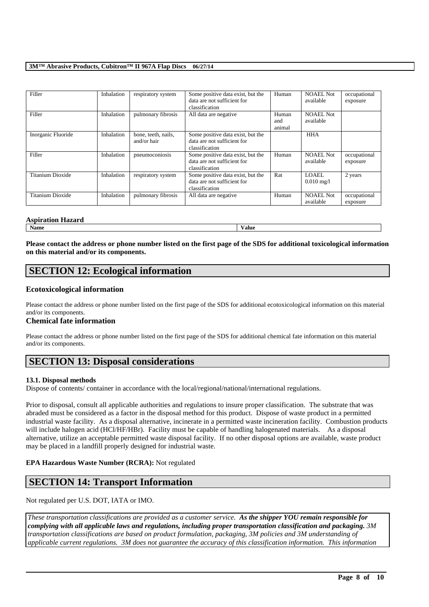| Filler                  | Inhalation | respiratory system                 | Some positive data exist, but the<br>data are not sufficient for<br>classification | Human                  | NOAEL Not<br>available         | occupational<br>exposure |
|-------------------------|------------|------------------------------------|------------------------------------------------------------------------------------|------------------------|--------------------------------|--------------------------|
| Filler                  | Inhalation | pulmonary fibrosis                 | All data are negative                                                              | Human<br>and<br>animal | <b>NOAEL Not</b><br>available  |                          |
| Inorganic Fluoride      | Inhalation | bone, teeth, nails,<br>and/or hair | Some positive data exist, but the<br>data are not sufficient for<br>classification |                        | <b>HHA</b>                     |                          |
| Filler                  | Inhalation | pneumoconiosis                     | Some positive data exist, but the<br>data are not sufficient for<br>classification | Human                  | NOAEL Not<br>available         | occupational<br>exposure |
| Titanium Dioxide        | Inhalation | respiratory system                 | Some positive data exist, but the<br>data are not sufficient for<br>classification | Rat                    | LOAEL.<br>$0.010 \text{ mg}/1$ | 2 years                  |
| <b>Titanium Dioxide</b> | Inhalation | pulmonary fibrosis                 | All data are negative                                                              | Human                  | <b>NOAEL Not</b><br>available  | occupational<br>exposure |

#### **Aspiration Hazard**

**Name Value**

**Please contact the address or phone number listed on the first page of the SDS for additional toxicological information on this material and/or its components.**

# **SECTION 12: Ecological information**

# **Ecotoxicological information**

Please contact the address or phone number listed on the first page of the SDS for additional ecotoxicological information on this material and/or its components.

## **Chemical fate information**

Please contact the address or phone number listed on the first page of the SDS for additional chemical fate information on this material and/or its components.

# **SECTION 13: Disposal considerations**

## **13.1. Disposal methods**

Dispose of contents/ container in accordance with the local/regional/national/international regulations.

Prior to disposal, consult all applicable authorities and regulations to insure proper classification. The substrate that was abraded must be considered as a factor in the disposal method for this product. Dispose of waste product in a permitted industrial waste facility. As a disposal alternative, incinerate in a permitted waste incineration facility. Combustion products will include halogen acid (HCl/HF/HBr). Facility must be capable of handling halogenated materials. As a disposal alternative, utilize an acceptable permitted waste disposal facility. If no other disposal options are available, waste product may be placed in a landfill properly designed for industrial waste.

## **EPA Hazardous Waste Number (RCRA):** Not regulated

# **SECTION 14: Transport Information**

Not regulated per U.S. DOT, IATA or IMO.

*These transportation classifications are provided as a customer service. As the shipper YOU remain responsible for complying with all applicable laws and regulations, including proper transportation classification and packaging. 3M transportation classifications are based on product formulation, packaging, 3M policies and 3M understanding of applicable current regulations. 3M does not guarantee the accuracy of this classification information. This information*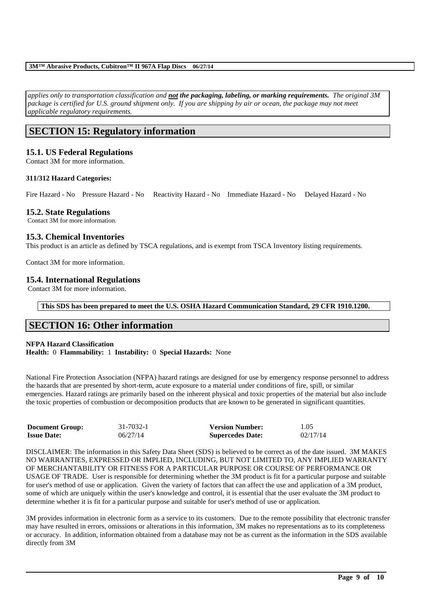*applies only to transportation classification and not the packaging, labeling, or marking requirements. The original 3M package is certified for U.S. ground shipment only. If you are shipping by air or ocean, the package may not meet applicable regulatory requirements.* 

# **SECTION 15: Regulatory information**

## **15.1. US Federal Regulations**

Contact 3M for more information.

## **311/312 Hazard Categories:**

Fire Hazard - No Pressure Hazard - No Reactivity Hazard - No Immediate Hazard - No Delayed Hazard - No

## **15.2. State Regulations**

Contact 3M for more information.

# **15.3. Chemical Inventories**

This product is an article as defined by TSCA regulations, and is exempt from TSCA Inventory listing requirements.

Contact 3M for more information.

# **15.4. International Regulations**

Contact 3M for more information.

**This SDS has been prepared to meet the U.S. OSHA Hazard Communication Standard, 29 CFR 1910.1200.**

# **SECTION 16: Other information**

## **NFPA Hazard Classification**

**Health:** 0 **Flammability:** 1 **Instability:** 0 **Special Hazards:** None

National Fire Protection Association (NFPA) hazard ratings are designed for use by emergency response personnel to address the hazards that are presented by short-term, acute exposure to a material under conditions of fire, spill, or similar emergencies. Hazard ratings are primarily based on the inherent physical and toxic properties of the material but also include the toxic properties of combustion or decomposition products that are known to be generated in significant quantities.

| <b>Document Group:</b> | 31-7032-1 | <b>Version Number:</b>  | 1.05     |
|------------------------|-----------|-------------------------|----------|
| <b>Issue Date:</b>     | 06/27/14  | <b>Supercedes Date:</b> | 02/17/14 |

DISCLAIMER: The information in this Safety Data Sheet (SDS) is believed to be correct as of the date issued. 3M MAKES NO WARRANTIES, EXPRESSED OR IMPLIED, INCLUDING, BUT NOT LIMITED TO, ANY IMPLIED WARRANTY OF MERCHANTABILITY OR FITNESS FOR A PARTICULAR PURPOSE OR COURSE OF PERFORMANCE OR USAGE OF TRADE. User is responsible for determining whether the 3M product is fit for a particular purpose and suitable for user's method of use or application. Given the variety of factors that can affect the use and application of a 3M product, some of which are uniquely within the user's knowledge and control, it is essential that the user evaluate the 3M product to determine whether it is fit for a particular purpose and suitable for user's method of use or application.

3M provides information in electronic form as a service to its customers. Due to the remote possibility that electronic transfer may have resulted in errors, omissions or alterations in this information, 3M makes no representations as to its completeness or accuracy. In addition, information obtained from a database may not be as current as the information in the SDS available directly from 3M